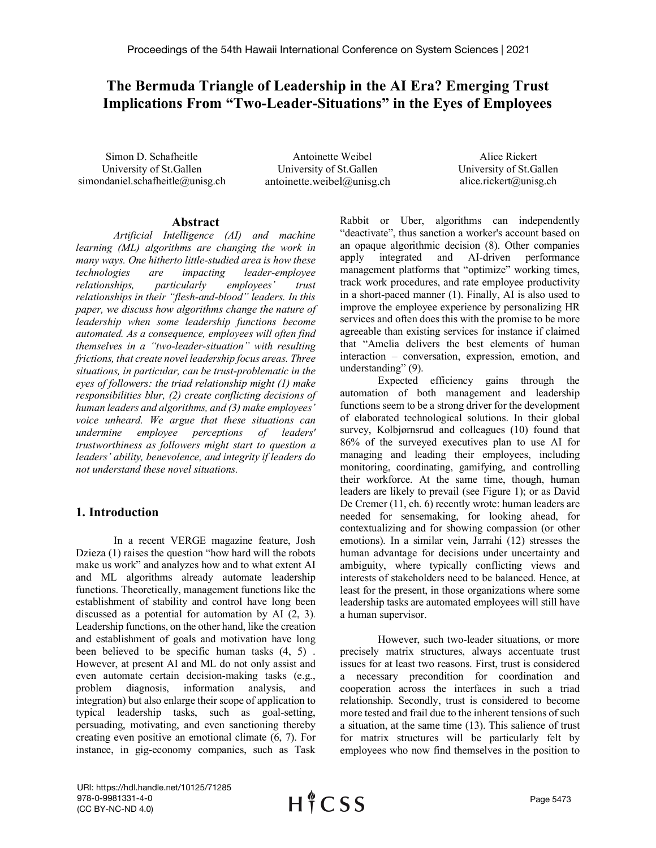# **The Bermuda Triangle of Leadership in the AI Era? Emerging Trust Implications From "Two-Leader-Situations" in the Eyes of Employees**

Simon D. Schafheitle University of St.Gallen [simondaniel.schafheitle@unisg.ch](mailto:simondaniel.schafheitle@unisg.ch)

Antoinette Weibel University of St.Gallen antoinette.weibel@unisg.ch

Alice Rickert University of St.Gallen alice.rickert@unisg.ch

### **Abstract**

*Artificial Intelligence (AI) and machine learning (ML) algorithms are changing the work in many ways. One hitherto little-studied area is how these technologies are impacting leader-employee relationships, particularly employees' trust relationships in their "flesh-and-blood" leaders. In this paper, we discuss how algorithms change the nature of leadership when some leadership functions become automated. As a consequence, employees will often find themselves in a "two-leader-situation" with resulting frictions, that create novel leadership focus areas. Three situations, in particular, can be trust-problematic in the eyes of followers: the triad relationship might (1) make responsibilities blur, (2) create conflicting decisions of human leaders and algorithms, and (3) make employees' voice unheard. We argue that these situations can undermine employee perceptions of leaders' trustworthiness as followers might start to question a leaders' ability, benevolence, and integrity if leaders do not understand these novel situations.* 

### **1. Introduction**

In a recent VERGE magazine feature, Josh Dzieza (1) raises the question "how hard will the robots make us work" and analyzes how and to what extent AI and ML algorithms already automate leadership functions. Theoretically, management functions like the establishment of stability and control have long been discussed as a potential for automation by AI (2, 3). Leadership functions, on the other hand, like the creation and establishment of goals and motivation have long been believed to be specific human tasks (4, 5) . However, at present AI and ML do not only assist and even automate certain decision-making tasks (e.g., problem diagnosis, information analysis, and integration) but also enlarge their scope of application to typical leadership tasks, such as goal-setting, persuading, motivating, and even sanctioning thereby creating even positive an emotional climate (6, 7). For instance, in gig-economy companies, such as Task

Rabbit or Uber, algorithms can independently "deactivate", thus sanction a worker's account based on an opaque algorithmic decision (8). Other companies apply integrated and AI-driven performance management platforms that "optimize" working times, track work procedures, and rate employee productivity in a short-paced manner (1). Finally, AI is also used to improve the employee experience by personalizing HR services and often does this with the promise to be more agreeable than existing services for instance if claimed that "Amelia delivers the best elements of human interaction – conversation, expression, emotion, and understanding" (9).

Expected efficiency gains through the automation of both management and leadership functions seem to be a strong driver for the development of elaborated technological solutions. In their global survey, Kolbjørnsrud and colleagues (10) found that 86% of the surveyed executives plan to use AI for managing and leading their employees, including monitoring, coordinating, gamifying, and controlling their workforce. At the same time, though, human leaders are likely to prevail (see Figure 1); or as David De Cremer (11, ch. 6) recently wrote: human leaders are needed for sensemaking, for looking ahead, for contextualizing and for showing compassion (or other emotions). In a similar vein, Jarrahi (12) stresses the human advantage for decisions under uncertainty and ambiguity, where typically conflicting views and interests of stakeholders need to be balanced. Hence, at least for the present, in those organizations where some leadership tasks are automated employees will still have a human supervisor.

However, such two-leader situations, or more precisely matrix structures, always accentuate trust issues for at least two reasons. First, trust is considered a necessary precondition for coordination and cooperation across the interfaces in such a triad relationship. Secondly, trust is considered to become more tested and frail due to the inherent tensions of such a situation, at the same time (13). This salience of trust for matrix structures will be particularly felt by employees who now find themselves in the position to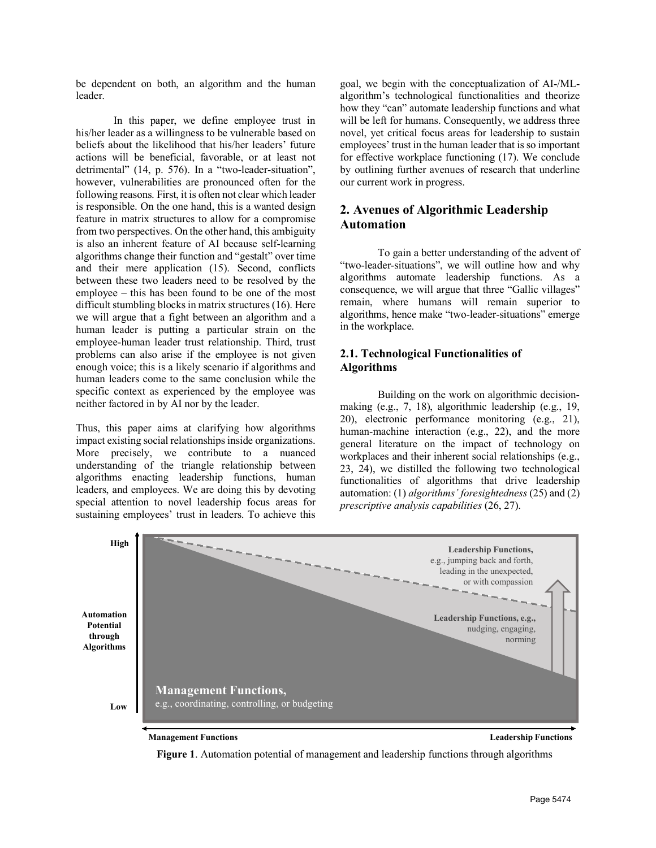be dependent on both, an algorithm and the human leader.

In this paper, we define employee trust in his/her leader as a willingness to be vulnerable based on beliefs about the likelihood that his/her leaders' future actions will be beneficial, favorable, or at least not detrimental" (14, p. 576). In a "two-leader-situation", however, vulnerabilities are pronounced often for the following reasons. First, it is often not clear which leader is responsible. On the one hand, this is a wanted design feature in matrix structures to allow for a compromise from two perspectives. On the other hand, this ambiguity is also an inherent feature of AI because self-learning algorithms change their function and "gestalt" over time and their mere application (15). Second, conflicts between these two leaders need to be resolved by the employee – this has been found to be one of the most difficult stumbling blocks in matrix structures (16). Here we will argue that a fight between an algorithm and a human leader is putting a particular strain on the employee-human leader trust relationship. Third, trust problems can also arise if the employee is not given enough voice; this is a likely scenario if algorithms and human leaders come to the same conclusion while the specific context as experienced by the employee was neither factored in by AI nor by the leader.

Thus, this paper aims at clarifying how algorithms impact existing social relationships inside organizations. More precisely, we contribute to a nuanced understanding of the triangle relationship between algorithms enacting leadership functions, human leaders, and employees. We are doing this by devoting special attention to novel leadership focus areas for sustaining employees' trust in leaders. To achieve this goal, we begin with the conceptualization of AI-/MLalgorithm's technological functionalities and theorize how they "can" automate leadership functions and what will be left for humans. Consequently, we address three novel, yet critical focus areas for leadership to sustain employees' trust in the human leader that is so important for effective workplace functioning (17). We conclude by outlining further avenues of research that underline our current work in progress.

# **2. Avenues of Algorithmic Leadership Automation**

To gain a better understanding of the advent of "two-leader-situations", we will outline how and why algorithms automate leadership functions. As a consequence, we will argue that three "Gallic villages" remain, where humans will remain superior to algorithms, hence make "two-leader-situations" emerge in the workplace.

### **2.1. Technological Functionalities of Algorithms**

Building on the work on algorithmic decisionmaking (e.g., 7, 18), algorithmic leadership (e.g., 19, 20), electronic performance monitoring (e.g., 21), human-machine interaction (e.g., 22), and the more general literature on the impact of technology on workplaces and their inherent social relationships (e.g., 23, 24), we distilled the following two technological functionalities of algorithms that drive leadership automation: (1) *algorithms' foresightedness* (25) and (2) *prescriptive analysis capabilities* (26, 27).



**Figure 1**. Automation potential of management and leadership functions through algorithms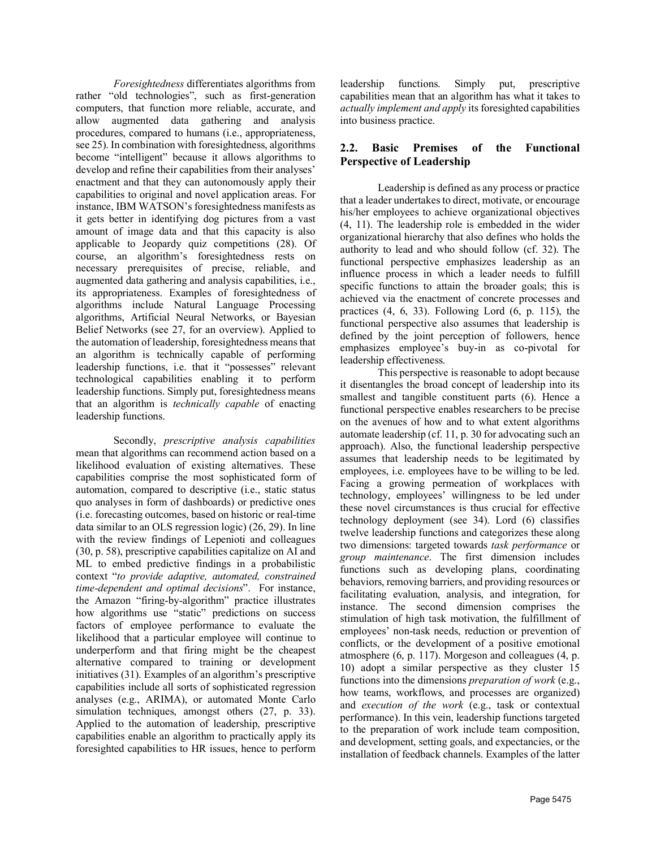*Foresightedness* differentiates algorithms from rather "old technologies", such as first-generation computers, that function more reliable, accurate, and allow augmented data gathering and analysis procedures, compared to humans (i.e., appropriateness, see 25). In combination with foresightedness, algorithms become "intelligent" because it allows algorithms to develop and refine their capabilities from their analyses' enactment and that they can autonomously apply their capabilities to original and novel application areas. For instance, IBM WATSON's foresightedness manifests as it gets better in identifying dog pictures from a vast amount of image data and that this capacity is also applicable to Jeopardy quiz competitions (28). Of course, an algorithm's foresightedness rests on necessary prerequisites of precise, reliable, and augmented data gathering and analysis capabilities, i.e., its appropriateness. Examples of foresightedness of algorithms include Natural Language Processing algorithms, Artificial Neural Networks, or Bayesian Belief Networks (see 27, for an overview). Applied to the automation of leadership, foresightedness means that an algorithm is technically capable of performing leadership functions, i.e. that it "possesses" relevant technological capabilities enabling it to perform leadership functions. Simply put, foresightedness means that an algorithm is *technically capable* of enacting leadership functions.

Secondly, *prescriptive analysis capabilities* mean that algorithms can recommend action based on a likelihood evaluation of existing alternatives. These capabilities comprise the most sophisticated form of automation, compared to descriptive (i.e., static status quo analyses in form of dashboards) or predictive ones (i.e. forecasting outcomes, based on historic or real-time data similar to an OLS regression logic) (26, 29). In line with the review findings of Lepenioti and colleagues (30, p. 58), prescriptive capabilities capitalize on AI and ML to embed predictive findings in a probabilistic context "*to provide adaptive, automated, constrained time-dependent and optimal decisions*". For instance, the Amazon "firing-by-algorithm" practice illustrates how algorithms use "static" predictions on success factors of employee performance to evaluate the likelihood that a particular employee will continue to underperform and that firing might be the cheapest alternative compared to training or development initiatives (31). Examples of an algorithm's prescriptive capabilities include all sorts of sophisticated regression analyses (e.g., ARIMA), or automated Monte Carlo simulation techniques, amongst others  $(27, p. 33)$ . Applied to the automation of leadership, prescriptive capabilities enable an algorithm to practically apply its foresighted capabilities to HR issues, hence to perform

leadership functions. Simply put, prescriptive capabilities mean that an algorithm has what it takes to *actually implement and apply* its foresighted capabilities into business practice.

## **2.2. Basic Premises of the Functional Perspective of Leadership**

Leadership is defined as any process or practice that a leader undertakes to direct, motivate, or encourage his/her employees to achieve organizational objectives (4, 11). The leadership role is embedded in the wider organizational hierarchy that also defines who holds the authority to lead and who should follow (cf. 32). The functional perspective emphasizes leadership as an influence process in which a leader needs to fulfill specific functions to attain the broader goals; this is achieved via the enactment of concrete processes and practices (4, 6, 33). Following Lord (6, p. 115), the functional perspective also assumes that leadership is defined by the joint perception of followers, hence emphasizes employee's buy-in as co-pivotal for leadership effectiveness.

This perspective is reasonable to adopt because it disentangles the broad concept of leadership into its smallest and tangible constituent parts (6). Hence a functional perspective enables researchers to be precise on the avenues of how and to what extent algorithms automate leadership (cf. 11, p. 30 for advocating such an approach). Also, the functional leadership perspective assumes that leadership needs to be legitimated by employees, i.e. employees have to be willing to be led. Facing a growing permeation of workplaces with technology, employees' willingness to be led under these novel circumstances is thus crucial for effective technology deployment (see 34). Lord (6) classifies twelve leadership functions and categorizes these along two dimensions: targeted towards *task performance* or *group maintenance*. The first dimension includes functions such as developing plans, coordinating behaviors, removing barriers, and providing resources or facilitating evaluation, analysis, and integration, for instance. The second dimension comprises the stimulation of high task motivation, the fulfillment of employees' non-task needs, reduction or prevention of conflicts, or the development of a positive emotional atmosphere (6, p. 117). Morgeson and colleagues (4, p. 10) adopt a similar perspective as they cluster 15 functions into the dimensions *preparation of work* (e.g., how teams, workflows, and processes are organized) and *execution of the work* (e.g., task or contextual performance). In this vein, leadership functions targeted to the preparation of work include team composition, and development, setting goals, and expectancies, or the installation of feedback channels. Examples of the latter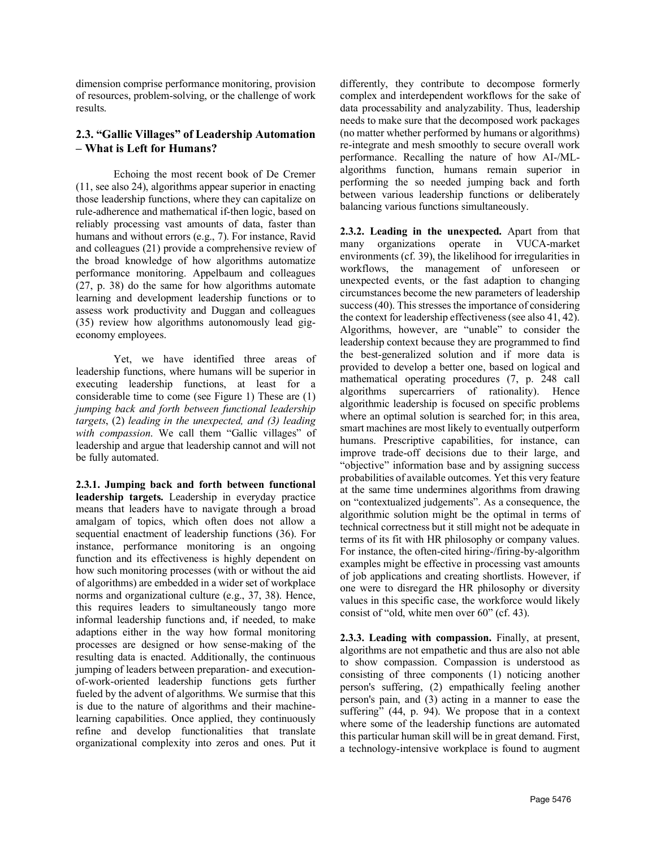dimension comprise performance monitoring, provision of resources, problem-solving, or the challenge of work results.

### **2.3. "Gallic Villages" of Leadership Automation – What is Left for Humans?**

Echoing the most recent book of De Cremer (11, see also 24), algorithms appear superior in enacting those leadership functions, where they can capitalize on rule-adherence and mathematical if-then logic, based on reliably processing vast amounts of data, faster than humans and without errors (e.g., 7). For instance, Ravid and colleagues (21) provide a comprehensive review of the broad knowledge of how algorithms automatize performance monitoring. Appelbaum and colleagues (27, p. 38) do the same for how algorithms automate learning and development leadership functions or to assess work productivity and Duggan and colleagues (35) review how algorithms autonomously lead gigeconomy employees.

Yet, we have identified three areas of leadership functions, where humans will be superior in executing leadership functions, at least for a considerable time to come (see Figure 1) These are (1) *jumping back and forth between functional leadership targets*, (2) *leading in the unexpected, and (3) leading with compassion*. We call them "Gallic villages" of leadership and argue that leadership cannot and will not be fully automated.

**2.3.1. Jumping back and forth between functional leadership targets.** Leadership in everyday practice means that leaders have to navigate through a broad amalgam of topics, which often does not allow a sequential enactment of leadership functions (36). For instance, performance monitoring is an ongoing function and its effectiveness is highly dependent on how such monitoring processes (with or without the aid of algorithms) are embedded in a wider set of workplace norms and organizational culture (e.g., 37, 38). Hence, this requires leaders to simultaneously tango more informal leadership functions and, if needed, to make adaptions either in the way how formal monitoring processes are designed or how sense-making of the resulting data is enacted. Additionally, the continuous jumping of leaders between preparation- and executionof-work-oriented leadership functions gets further fueled by the advent of algorithms. We surmise that this is due to the nature of algorithms and their machinelearning capabilities. Once applied, they continuously refine and develop functionalities that translate organizational complexity into zeros and ones. Put it

differently, they contribute to decompose formerly complex and interdependent workflows for the sake of data processability and analyzability. Thus, leadership needs to make sure that the decomposed work packages (no matter whether performed by humans or algorithms) re-integrate and mesh smoothly to secure overall work performance. Recalling the nature of how AI-/MLalgorithms function, humans remain superior in performing the so needed jumping back and forth between various leadership functions or deliberately balancing various functions simultaneously.

**2.3.2. Leading in the unexpected.** Apart from that many organizations operate in VUCA-market environments (cf. 39), the likelihood for irregularities in workflows, the management of unforeseen or unexpected events, or the fast adaption to changing circumstances become the new parameters of leadership success (40). This stresses the importance of considering the context for leadership effectiveness (see also 41, 42). Algorithms, however, are "unable" to consider the leadership context because they are programmed to find the best-generalized solution and if more data is provided to develop a better one, based on logical and mathematical operating procedures (7, p. 248 call algorithms supercarriers of rationality). Hence algorithmic leadership is focused on specific problems where an optimal solution is searched for; in this area, smart machines are most likely to eventually outperform humans. Prescriptive capabilities, for instance, can improve trade-off decisions due to their large, and "objective" information base and by assigning success probabilities of available outcomes. Yet this very feature at the same time undermines algorithms from drawing on "contextualized judgements". As a consequence, the algorithmic solution might be the optimal in terms of technical correctness but it still might not be adequate in terms of its fit with HR philosophy or company values. For instance, the often-cited hiring-/firing-by-algorithm examples might be effective in processing vast amounts of job applications and creating shortlists. However, if one were to disregard the HR philosophy or diversity values in this specific case, the workforce would likely consist of "old, white men over 60" (cf. 43).

**2.3.3. Leading with compassion.** Finally, at present, algorithms are not empathetic and thus are also not able to show compassion. Compassion is understood as consisting of three components (1) noticing another person's suffering, (2) empathically feeling another person's pain, and (3) acting in a manner to ease the suffering" (44, p. 94). We propose that in a context where some of the leadership functions are automated this particular human skill will be in great demand. First, a technology-intensive workplace is found to augment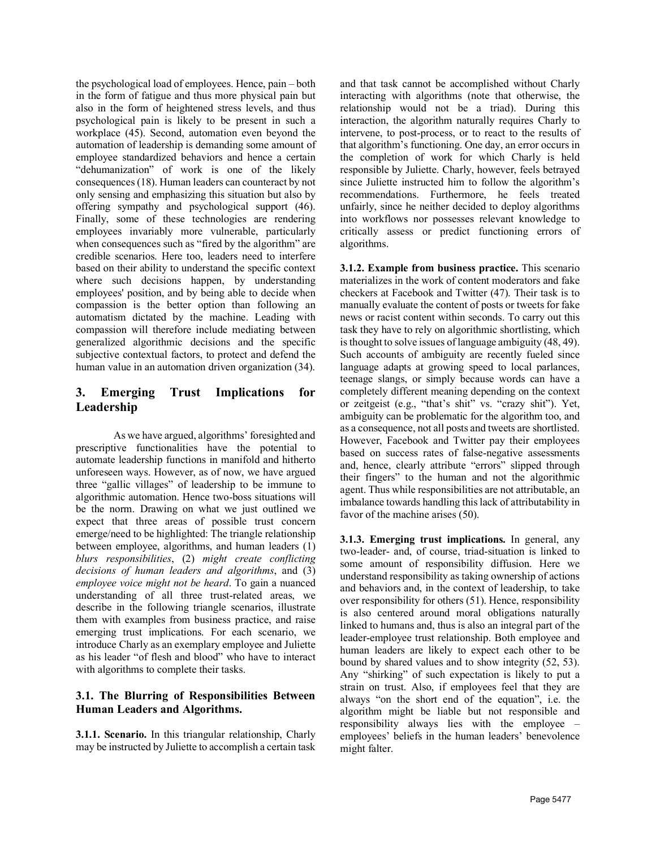the psychological load of employees. Hence, pain – both in the form of fatigue and thus more physical pain but also in the form of heightened stress levels, and thus psychological pain is likely to be present in such a workplace (45). Second, automation even beyond the automation of leadership is demanding some amount of employee standardized behaviors and hence a certain "dehumanization" of work is one of the likely consequences (18). Human leaders can counteract by not only sensing and emphasizing this situation but also by offering sympathy and psychological support (46). Finally, some of these technologies are rendering employees invariably more vulnerable, particularly when consequences such as "fired by the algorithm" are credible scenarios. Here too, leaders need to interfere based on their ability to understand the specific context where such decisions happen, by understanding employees' position, and by being able to decide when compassion is the better option than following an automatism dictated by the machine. Leading with compassion will therefore include mediating between generalized algorithmic decisions and the specific subjective contextual factors, to protect and defend the human value in an automation driven organization (34).

# **3. Emerging Trust Implications for Leadership**

As we have argued, algorithms' foresighted and prescriptive functionalities have the potential to automate leadership functions in manifold and hitherto unforeseen ways. However, as of now, we have argued three "gallic villages" of leadership to be immune to algorithmic automation. Hence two-boss situations will be the norm. Drawing on what we just outlined we expect that three areas of possible trust concern emerge/need to be highlighted: The triangle relationship between employee, algorithms, and human leaders (1) *blurs responsibilities*, (2) *might create conflicting decisions of human leaders and algorithms*, and (3) *employee voice might not be heard*. To gain a nuanced understanding of all three trust-related areas, we describe in the following triangle scenarios, illustrate them with examples from business practice, and raise emerging trust implications. For each scenario, we introduce Charly as an exemplary employee and Juliette as his leader "of flesh and blood" who have to interact with algorithms to complete their tasks.

## **3.1. The Blurring of Responsibilities Between Human Leaders and Algorithms.**

**3.1.1. Scenario.** In this triangular relationship, Charly may be instructed by Juliette to accomplish a certain task

and that task cannot be accomplished without Charly interacting with algorithms (note that otherwise, the relationship would not be a triad). During this interaction, the algorithm naturally requires Charly to intervene, to post-process, or to react to the results of that algorithm's functioning. One day, an error occurs in the completion of work for which Charly is held responsible by Juliette. Charly, however, feels betrayed since Juliette instructed him to follow the algorithm's recommendations. Furthermore, he feels treated unfairly, since he neither decided to deploy algorithms into workflows nor possesses relevant knowledge to critically assess or predict functioning errors of algorithms.

**3.1.2. Example from business practice.** This scenario materializes in the work of content moderators and fake checkers at Facebook and Twitter (47). Their task is to manually evaluate the content of posts or tweets for fake news or racist content within seconds. To carry out this task they have to rely on algorithmic shortlisting, which is thought to solve issues of language ambiguity (48, 49). Such accounts of ambiguity are recently fueled since language adapts at growing speed to local parlances, teenage slangs, or simply because words can have a completely different meaning depending on the context or zeitgeist (e.g., "that's shit" vs. "crazy shit"). Yet, ambiguity can be problematic for the algorithm too, and as a consequence, not all posts and tweets are shortlisted. However, Facebook and Twitter pay their employees based on success rates of false-negative assessments and, hence, clearly attribute "errors" slipped through their fingers" to the human and not the algorithmic agent. Thus while responsibilities are not attributable, an imbalance towards handling this lack of attributability in favor of the machine arises (50).

**3.1.3. Emerging trust implications.** In general, any two-leader- and, of course, triad-situation is linked to some amount of responsibility diffusion. Here we understand responsibility as taking ownership of actions and behaviors and, in the context of leadership, to take over responsibility for others (51). Hence, responsibility is also centered around moral obligations naturally linked to humans and, thus is also an integral part of the leader-employee trust relationship. Both employee and human leaders are likely to expect each other to be bound by shared values and to show integrity (52, 53). Any "shirking" of such expectation is likely to put a strain on trust. Also, if employees feel that they are always "on the short end of the equation", i.e. the algorithm might be liable but not responsible and responsibility always lies with the employee – employees' beliefs in the human leaders' benevolence might falter.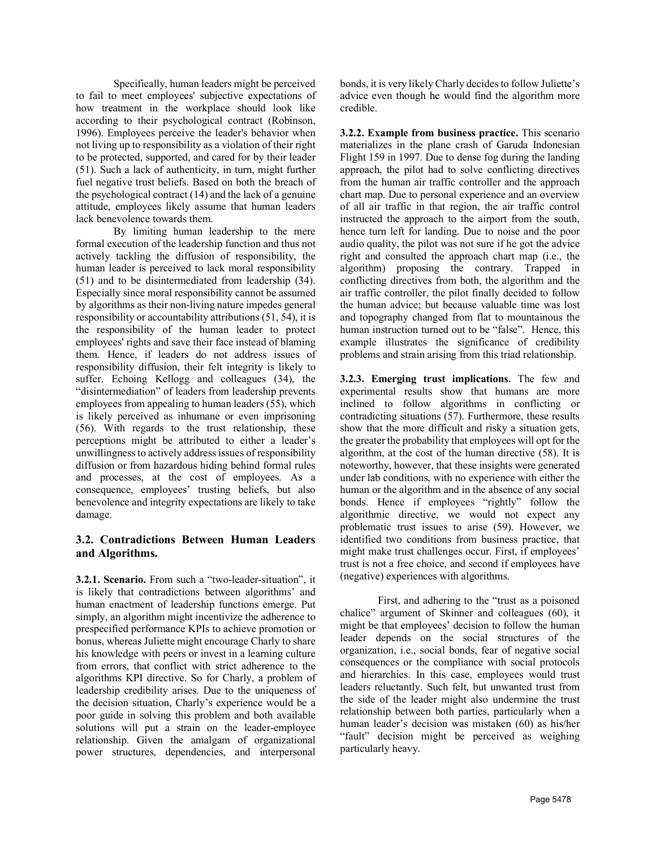Specifically, human leaders might be perceived to fail to meet employees' subjective expectations of how treatment in the workplace should look like according to their psychological contract (Robinson, 1996). Employees perceive the leader's behavior when not living up to responsibility as a violation of their right to be protected, supported, and cared for by their leader (51). Such a lack of authenticity, in turn, might further fuel negative trust beliefs. Based on both the breach of the psychological contract (14) and the lack of a genuine attitude, employees likely assume that human leaders lack benevolence towards them.

By limiting human leadership to the mere formal execution of the leadership function and thus not actively tackling the diffusion of responsibility, the human leader is perceived to lack moral responsibility (51) and to be disintermediated from leadership (34). Especially since moral responsibility cannot be assumed by algorithms as their non-living nature impedes general responsibility or accountability attributions (51, 54), it is the responsibility of the human leader to protect employees' rights and save their face instead of blaming them. Hence, if leaders do not address issues of responsibility diffusion, their felt integrity is likely to suffer. Echoing Kellogg and colleagues (34), the "disintermediation" of leaders from leadership prevents employees from appealing to human leaders (55), which is likely perceived as inhumane or even imprisoning (56). With regards to the trust relationship, these perceptions might be attributed to either a leader's unwillingness to actively address issues of responsibility diffusion or from hazardous hiding behind formal rules and processes, at the cost of employees. As a consequence, employees' trusting beliefs, but also benevolence and integrity expectations are likely to take damage.

### **3.2. Contradictions Between Human Leaders and Algorithms.**

**3.2.1. Scenario.** From such a "two-leader-situation", it is likely that contradictions between algorithms' and human enactment of leadership functions emerge. Put simply, an algorithm might incentivize the adherence to prespecified performance KPIs to achieve promotion or bonus, whereas Juliette might encourage Charly to share his knowledge with peers or invest in a learning culture from errors, that conflict with strict adherence to the algorithms KPI directive. So for Charly, a problem of leadership credibility arises. Due to the uniqueness of the decision situation, Charly's experience would be a poor guide in solving this problem and both available solutions will put a strain on the leader-employee relationship. Given the amalgam of organizational power structures, dependencies, and interpersonal

bonds, it is very likely Charly decides to follow Juliette's advice even though he would find the algorithm more credible.

**3.2.2. Example from business practice.** This scenario materializes in the plane crash of Garuda Indonesian Flight 159 in 1997. Due to dense fog during the landing approach, the pilot had to solve conflicting directives from the human air traffic controller and the approach chart map. Due to personal experience and an overview of all air traffic in that region, the air traffic control instructed the approach to the airport from the south, hence turn left for landing. Due to noise and the poor audio quality, the pilot was not sure if he got the advice right and consulted the approach chart map (i.e., the algorithm) proposing the contrary. Trapped in conflicting directives from both, the algorithm and the air traffic controller, the pilot finally decided to follow the human advice; but because valuable time was lost and topography changed from flat to mountainous the human instruction turned out to be "false". Hence, this example illustrates the significance of credibility problems and strain arising from this triad relationship.

**3.2.3. Emerging trust implications.** The few and experimental results show that humans are more inclined to follow algorithms in conflicting or contradicting situations (57). Furthermore, these results show that the more difficult and risky a situation gets, the greater the probability that employees will opt for the algorithm, at the cost of the human directive (58). It is noteworthy, however, that these insights were generated under lab conditions, with no experience with either the human or the algorithm and in the absence of any social bonds. Hence if employees "rightly" follow the algorithmic directive, we would not expect any problematic trust issues to arise (59). However, we identified two conditions from business practice, that might make trust challenges occur. First, if employees' trust is not a free choice, and second if employees have (negative) experiences with algorithms.

First, and adhering to the "trust as a poisoned chalice" argument of Skinner and colleagues (60), it might be that employees' decision to follow the human leader depends on the social structures of the organization, i.e., social bonds, fear of negative social consequences or the compliance with social protocols and hierarchies. In this case, employees would trust leaders reluctantly. Such felt, but unwanted trust from the side of the leader might also undermine the trust relationship between both parties, particularly when a human leader's decision was mistaken (60) as his/her "fault" decision might be perceived as weighing particularly heavy.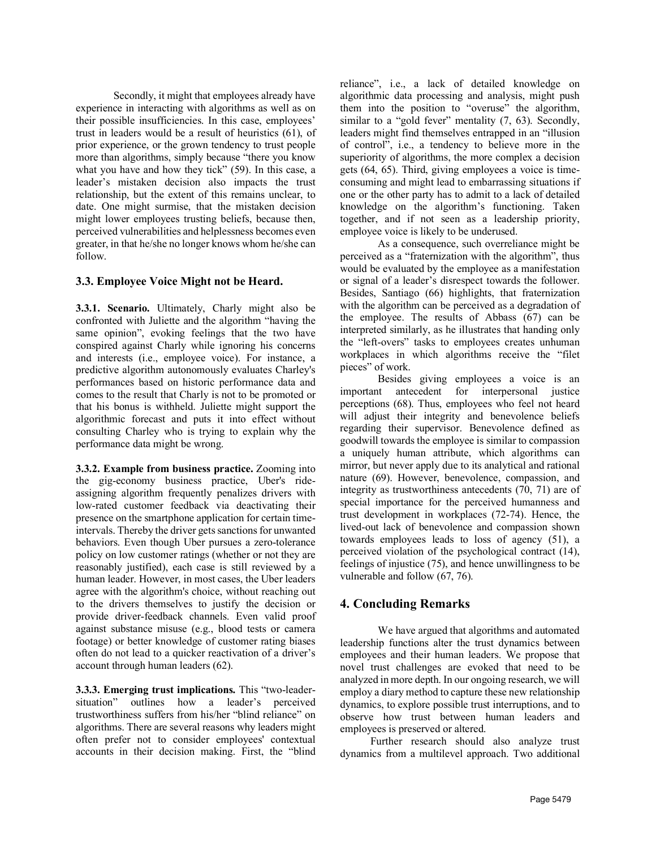Secondly, it might that employees already have experience in interacting with algorithms as well as on their possible insufficiencies. In this case, employees' trust in leaders would be a result of heuristics (61), of prior experience, or the grown tendency to trust people more than algorithms, simply because "there you know what you have and how they tick" (59). In this case, a leader's mistaken decision also impacts the trust relationship, but the extent of this remains unclear, to date. One might surmise, that the mistaken decision might lower employees trusting beliefs, because then, perceived vulnerabilities and helplessness becomes even greater, in that he/she no longer knows whom he/she can follow.

### **3.3. Employee Voice Might not be Heard.**

**3.3.1. Scenario.** Ultimately, Charly might also be confronted with Juliette and the algorithm "having the same opinion", evoking feelings that the two have conspired against Charly while ignoring his concerns and interests (i.e., employee voice). For instance, a predictive algorithm autonomously evaluates Charley's performances based on historic performance data and comes to the result that Charly is not to be promoted or that his bonus is withheld. Juliette might support the algorithmic forecast and puts it into effect without consulting Charley who is trying to explain why the performance data might be wrong.

**3.3.2. Example from business practice.** Zooming into the gig-economy business practice, Uber's rideassigning algorithm frequently penalizes drivers with low-rated customer feedback via deactivating their presence on the smartphone application for certain timeintervals. Thereby the driver gets sanctions for unwanted behaviors. Even though Uber pursues a zero-tolerance policy on low customer ratings (whether or not they are reasonably justified), each case is still reviewed by a human leader. However, in most cases, the Uber leaders agree with the algorithm's choice, without reaching out to the drivers themselves to justify the decision or provide driver-feedback channels. Even valid proof against substance misuse (e.g., blood tests or camera footage) or better knowledge of customer rating biases often do not lead to a quicker reactivation of a driver's account through human leaders (62).

**3.3.3. Emerging trust implications.** This "two-leadersituation" outlines how a leader's perceived trustworthiness suffers from his/her "blind reliance" on algorithms. There are several reasons why leaders might often prefer not to consider employees' contextual accounts in their decision making. First, the "blind

reliance", i.e., a lack of detailed knowledge on algorithmic data processing and analysis, might push them into the position to "overuse" the algorithm, similar to a "gold fever" mentality  $(7, 63)$ . Secondly, leaders might find themselves entrapped in an "illusion of control", i.e., a tendency to believe more in the superiority of algorithms, the more complex a decision gets (64, 65). Third, giving employees a voice is timeconsuming and might lead to embarrassing situations if one or the other party has to admit to a lack of detailed knowledge on the algorithm's functioning. Taken together, and if not seen as a leadership priority, employee voice is likely to be underused.

As a consequence, such overreliance might be perceived as a "fraternization with the algorithm", thus would be evaluated by the employee as a manifestation or signal of a leader's disrespect towards the follower. Besides, Santiago (66) highlights, that fraternization with the algorithm can be perceived as a degradation of the employee. The results of Abbass (67) can be interpreted similarly, as he illustrates that handing only the "left-overs" tasks to employees creates unhuman workplaces in which algorithms receive the "filet pieces" of work.

Besides giving employees a voice is an important antecedent for interpersonal justice perceptions (68). Thus, employees who feel not heard will adjust their integrity and benevolence beliefs regarding their supervisor. Benevolence defined as goodwill towards the employee is similar to compassion a uniquely human attribute, which algorithms can mirror, but never apply due to its analytical and rational nature (69). However, benevolence, compassion, and integrity as trustworthiness antecedents (70, 71) are of special importance for the perceived humanness and trust development in workplaces (72-74). Hence, the lived-out lack of benevolence and compassion shown towards employees leads to loss of agency (51), a perceived violation of the psychological contract (14), feelings of injustice (75), and hence unwillingness to be vulnerable and follow (67, 76).

### **4. Concluding Remarks**

We have argued that algorithms and automated leadership functions alter the trust dynamics between employees and their human leaders. We propose that novel trust challenges are evoked that need to be analyzed in more depth. In our ongoing research, we will employ a diary method to capture these new relationship dynamics, to explore possible trust interruptions, and to observe how trust between human leaders and employees is preserved or altered.

Further research should also analyze trust dynamics from a multilevel approach. Two additional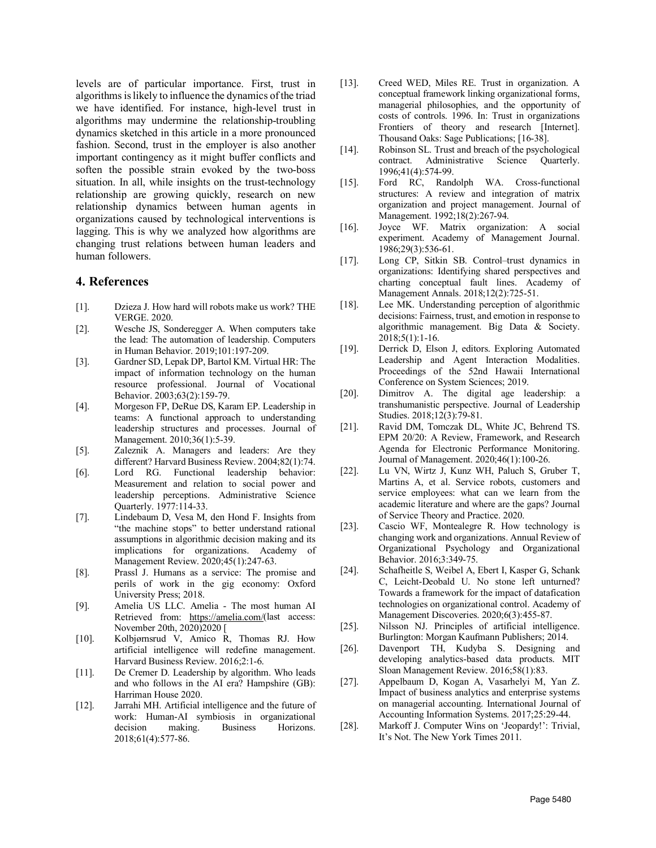levels are of particular importance. First, trust in algorithms is likely to influence the dynamics of the triad we have identified. For instance, high-level trust in algorithms may undermine the relationship-troubling dynamics sketched in this article in a more pronounced fashion. Second, trust in the employer is also another important contingency as it might buffer conflicts and soften the possible strain evoked by the two-boss situation. In all, while insights on the trust-technology relationship are growing quickly, research on new relationship dynamics between human agents in organizations caused by technological interventions is lagging. This is why we analyzed how algorithms are changing trust relations between human leaders and human followers.

### **4. References**

- [1]. Dzieza J. How hard will robots make us work? THE VERGE. 2020.
- [2]. Wesche JS, Sonderegger A. When computers take the lead: The automation of leadership. Computers in Human Behavior. 2019;101:197-209.
- [3]. Gardner SD, Lepak DP, Bartol KM. Virtual HR: The impact of information technology on the human resource professional. Journal of Vocational Behavior. 2003;63(2):159-79.
- [4]. Morgeson FP, DeRue DS, Karam EP. Leadership in teams: A functional approach to understanding leadership structures and processes. Journal of Management. 2010;36(1):5-39.
- [5]. Zaleznik A. Managers and leaders: Are they different? Harvard Business Review. 2004;82(1):74.
- [6]. Lord RG. Functional leadership behavior: Measurement and relation to social power and leadership perceptions. Administrative Science Quarterly. 1977:114-33.
- [7]. Lindebaum D, Vesa M, den Hond F. Insights from "the machine stops" to better understand rational assumptions in algorithmic decision making and its implications for organizations. Academy of Management Review. 2020;45(1):247-63.
- [8]. Prassl J. Humans as a service: The promise and perils of work in the gig economy: Oxford University Press; 2018.
- [9]. Amelia US LLC. Amelia The most human AI Retrieved from: [https://amelia.com/\(](https://amelia.com/)last access: November 20th, 2020)2020 [
- [10]. Kolbjørnsrud V, Amico R, Thomas RJ. How artificial intelligence will redefine management. Harvard Business Review. 2016;2:1-6.
- [11]. De Cremer D. Leadership by algorithm. Who leads and who follows in the AI era? Hampshire (GB): Harriman House 2020.
- [12]. Jarrahi MH. Artificial intelligence and the future of work: Human-AI symbiosis in organizational decision making. Business Horizons. 2018;61(4):577-86.
- [13]. Creed WED, Miles RE. Trust in organization. A conceptual framework linking organizational forms, managerial philosophies, and the opportunity of costs of controls. 1996. In: Trust in organizations Frontiers of theory and research [Internet]. Thousand Oaks: Sage Publications; [16-38].
- [14]. Robinson SL. Trust and breach of the psychological contract. Administrative Science Quarterly. 1996;41(4):574-99.
- [15]. Ford RC, Randolph WA. Cross-functional structures: A review and integration of matrix organization and project management. Journal of Management. 1992;18(2):267-94.
- [16]. Joyce WF. Matrix organization: A social experiment. Academy of Management Journal. 1986;29(3):536-61.
- [17]. Long CP, Sitkin SB. Control–trust dynamics in organizations: Identifying shared perspectives and charting conceptual fault lines. Academy of Management Annals. 2018;12(2):725-51.
- [18]. Lee MK. Understanding perception of algorithmic decisions: Fairness, trust, and emotion in response to algorithmic management. Big Data & Society. 2018;5(1):1-16.
- [19]. Derrick D, Elson J, editors. Exploring Automated Leadership and Agent Interaction Modalities. Proceedings of the 52nd Hawaii International Conference on System Sciences; 2019.
- [20]. Dimitrov A. The digital age leadership: a transhumanistic perspective. Journal of Leadership Studies. 2018;12(3):79-81.
- [21]. Ravid DM, Tomczak DL, White JC, Behrend TS. EPM 20/20: A Review, Framework, and Research Agenda for Electronic Performance Monitoring. Journal of Management. 2020;46(1):100-26.
- [22]. Lu VN, Wirtz J, Kunz WH, Paluch S, Gruber T, Martins A, et al. Service robots, customers and service employees: what can we learn from the academic literature and where are the gaps? Journal of Service Theory and Practice. 2020.
- [23]. Cascio WF, Montealegre R. How technology is changing work and organizations. Annual Review of Organizational Psychology and Organizational Behavior. 2016;3:349-75.
- [24]. Schafheitle S, Weibel A, Ebert I, Kasper G, Schank C, Leicht-Deobald U. No stone left unturned? Towards a framework for the impact of datafication technologies on organizational control. Academy of Management Discoveries. 2020;6(3):455-87.
- [25]. Nilsson NJ. Principles of artificial intelligence. Burlington: Morgan Kaufmann Publishers; 2014.
- [26]. Davenport TH, Kudyba S. Designing and developing analytics-based data products. MIT Sloan Management Review. 2016;58(1):83.
- [27]. Appelbaum D, Kogan A, Vasarhelyi M, Yan Z. Impact of business analytics and enterprise systems on managerial accounting. International Journal of Accounting Information Systems. 2017;25:29-44.
- [28]. Markoff J. Computer Wins on 'Jeopardy!': Trivial, It's Not. The New York Times 2011.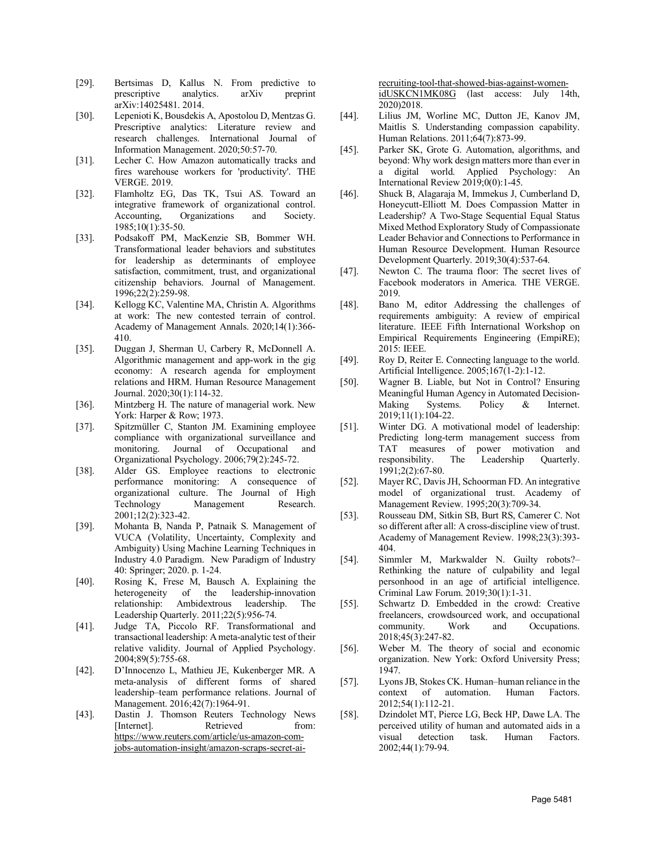- [29]. Bertsimas D, Kallus N. From predictive to prescriptive analytics. arXiv preprint arXiv:14025481. 2014.
- [30]. Lepenioti K, Bousdekis A, Apostolou D, Mentzas G. Prescriptive analytics: Literature review and research challenges. International Journal of Information Management. 2020;50:57-70.
- [31]. Lecher C. How Amazon automatically tracks and fires warehouse workers for 'productivity'. THE VERGE. 2019.
- [32]. Flamholtz EG, Das TK, Tsui AS. Toward an integrative framework of organizational control. Accounting, Organizations and Society. 1985;10(1):35-50.
- [33]. Podsakoff PM, MacKenzie SB, Bommer WH. Transformational leader behaviors and substitutes for leadership as determinants of employee satisfaction, commitment, trust, and organizational citizenship behaviors. Journal of Management. 1996;22(2):259-98.
- [34]. Kellogg KC, Valentine MA, Christin A. Algorithms at work: The new contested terrain of control. Academy of Management Annals. 2020;14(1):366- 410.
- [35]. Duggan J, Sherman U, Carbery R, McDonnell A. Algorithmic management and app‐work in the gig economy: A research agenda for employment relations and HRM. Human Resource Management Journal. 2020;30(1):114-32.
- [36]. Mintzberg H. The nature of managerial work. New York: Harper & Row; 1973.
- [37]. Spitzmüller C, Stanton JM. Examining employee compliance with organizational surveillance and monitoring. Journal of Occupational and Organizational Psychology. 2006;79(2):245-72.
- [38]. Alder GS. Employee reactions to electronic performance monitoring: A consequence of organizational culture. The Journal of High Technology Management Research. 2001;12(2):323-42.
- [39]. Mohanta B, Nanda P, Patnaik S. Management of VUCA (Volatility, Uncertainty, Complexity and Ambiguity) Using Machine Learning Techniques in Industry 4.0 Paradigm. New Paradigm of Industry 40: Springer; 2020. p. 1-24.
- [40]. Rosing K, Frese M, Bausch A. Explaining the heterogeneity of the leadership-innovation relationship: Ambidextrous leadership. The Leadership Quarterly. 2011;22(5):956-74.
- [41]. Judge TA, Piccolo RF. Transformational and transactional leadership: A meta-analytic test of their relative validity. Journal of Applied Psychology. 2004;89(5):755-68.
- [42]. D'Innocenzo L, Mathieu JE, Kukenberger MR. A meta-analysis of different forms of shared leadership–team performance relations. Journal of Management. 2016;42(7):1964-91.
- [43]. Dastin J. Thomson Reuters Technology News [Internet]. Retrieved from: [https://www.reuters.com/article/us-amazon-com](https://www.reuters.com/article/us-amazon-com-jobs-automation-insight/amazon-scraps-secret-ai-recruiting-tool-that-showed-bias-against-women-idUSKCN1MK08G)[jobs-automation-insight/amazon-scraps-secret-ai-](https://www.reuters.com/article/us-amazon-com-jobs-automation-insight/amazon-scraps-secret-ai-recruiting-tool-that-showed-bias-against-women-idUSKCN1MK08G)

[recruiting-tool-that-showed-bias-against-women](https://www.reuters.com/article/us-amazon-com-jobs-automation-insight/amazon-scraps-secret-ai-recruiting-tool-that-showed-bias-against-women-idUSKCN1MK08G)[idUSKCN1MK08G](https://www.reuters.com/article/us-amazon-com-jobs-automation-insight/amazon-scraps-secret-ai-recruiting-tool-that-showed-bias-against-women-idUSKCN1MK08G) (last access: July 14th, 2020)2018.

- [44]. Lilius JM, Worline MC, Dutton JE, Kanov JM, Maitlis S. Understanding compassion capability. Human Relations. 2011;64(7):873-99.
- [45]. Parker SK, Grote G. Automation, algorithms, and beyond: Why work design matters more than ever in a digital world. Applied Psychology: An International Review 2019;0(0):1-45.
- [46]. Shuck B, Alagaraja M, Immekus J, Cumberland D, Honeycutt‐Elliott M. Does Compassion Matter in Leadership? A Two‐Stage Sequential Equal Status Mixed Method Exploratory Study of Compassionate Leader Behavior and Connections to Performance in Human Resource Development. Human Resource Development Quarterly. 2019;30(4):537-64.
- [47]. Newton C. The trauma floor: The secret lives of Facebook moderators in America. THE VERGE. 2019.
- [48]. Bano M, editor Addressing the challenges of requirements ambiguity: A review of empirical literature. IEEE Fifth International Workshop on Empirical Requirements Engineering (EmpiRE); 2015: IEEE.
- [49]. Roy D, Reiter E. Connecting language to the world. Artificial Intelligence. 2005;167(1-2):1-12.
- [50]. Wagner B. Liable, but Not in Control? Ensuring Meaningful Human Agency in Automated Decision‐ Making Systems. Policy & Internet. 2019;11(1):104-22.
- [51]. Winter DG. A motivational model of leadership: Predicting long-term management success from TAT measures of power motivation and responsibility. The Leadership Quarterly. 1991;2(2):67-80.
- [52]. Mayer RC, Davis JH, Schoorman FD. An integrative model of organizational trust. Academy of Management Review. 1995;20(3):709-34.
- [53]. Rousseau DM, Sitkin SB, Burt RS, Camerer C. Not so different after all: A cross-discipline view of trust. Academy of Management Review. 1998;23(3):393- 404.
- [54]. Simmler M, Markwalder N. Guilty robots?– Rethinking the nature of culpability and legal personhood in an age of artificial intelligence. Criminal Law Forum. 2019;30(1):1-31.
- [55]. Schwartz D. Embedded in the crowd: Creative freelancers, crowdsourced work, and occupational community. Work and Occupations. 2018;45(3):247-82.
- [56]. Weber M. The theory of social and economic organization. New York: Oxford University Press; 1947.
- [57]. Lyons JB, Stokes CK. Human–human reliance in the context of automation. Human Factors. 2012;54(1):112-21.
- [58]. Dzindolet MT, Pierce LG, Beck HP, Dawe LA. The perceived utility of human and automated aids in a visual detection task. Human Factors. 2002;44(1):79-94.